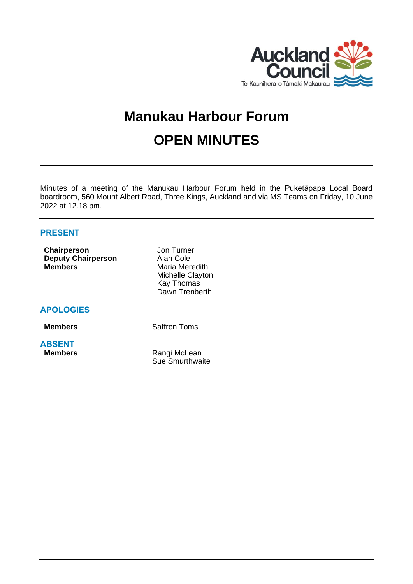

# **Manukau Harbour Forum OPEN MINUTES**

Minutes of a meeting of the Manukau Harbour Forum held in the Puketāpapa Local Board boardroom, 560 Mount Albert Road, Three Kings, Auckland and via MS Teams on Friday, 10 June 2022 at 12.18 pm.

# **PRESENT**

| Chairperson               | Jon Turner       |
|---------------------------|------------------|
| <b>Deputy Chairperson</b> | Alan Cole        |
| <b>Members</b>            | Maria Meredith   |
|                           | Michelle Clayton |
|                           | Kay Thomas       |
|                           | Dawn Trenberth   |

**APOLOGIES**

**Members** Saffron Toms

**ABSENT**

**Rangi McLean** Sue Smurthwaite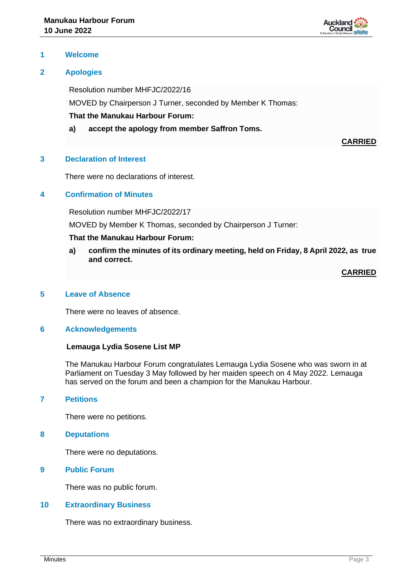

## **1 Welcome**

# **2 Apologies**

Resolution number MHFJC/2022/16

MOVED by Chairperson J Turner, seconded by Member K Thomas:

**That the Manukau Harbour Forum:**

**a) accept the apology from member Saffron Toms.**

**CARRIED**

## **3 Declaration of Interest**

There were no declarations of interest.

# **4 Confirmation of Minutes**

Resolution number MHFJC/2022/17

MOVED by Member K Thomas, seconded by Chairperson J Turner:

## **That the Manukau Harbour Forum:**

**a) confirm the minutes of its ordinary meeting, held on Friday, 8 April 2022, as true and correct.**

**CARRIED**

## **5 Leave of Absence**

There were no leaves of absence.

#### **6 Acknowledgements**

#### **Lemauga Lydia Sosene List MP**

The Manukau Harbour Forum congratulates Lemauga Lydia Sosene who was sworn in at Parliament on Tuesday 3 May followed by her maiden speech on 4 May 2022. Lemauga has served on the forum and been a champion for the Manukau Harbour.

# **7 Petitions**

There were no petitions.

#### **8 Deputations**

There were no deputations.

# **9 Public Forum**

There was no public forum.

## **10 Extraordinary Business**

There was no extraordinary business.